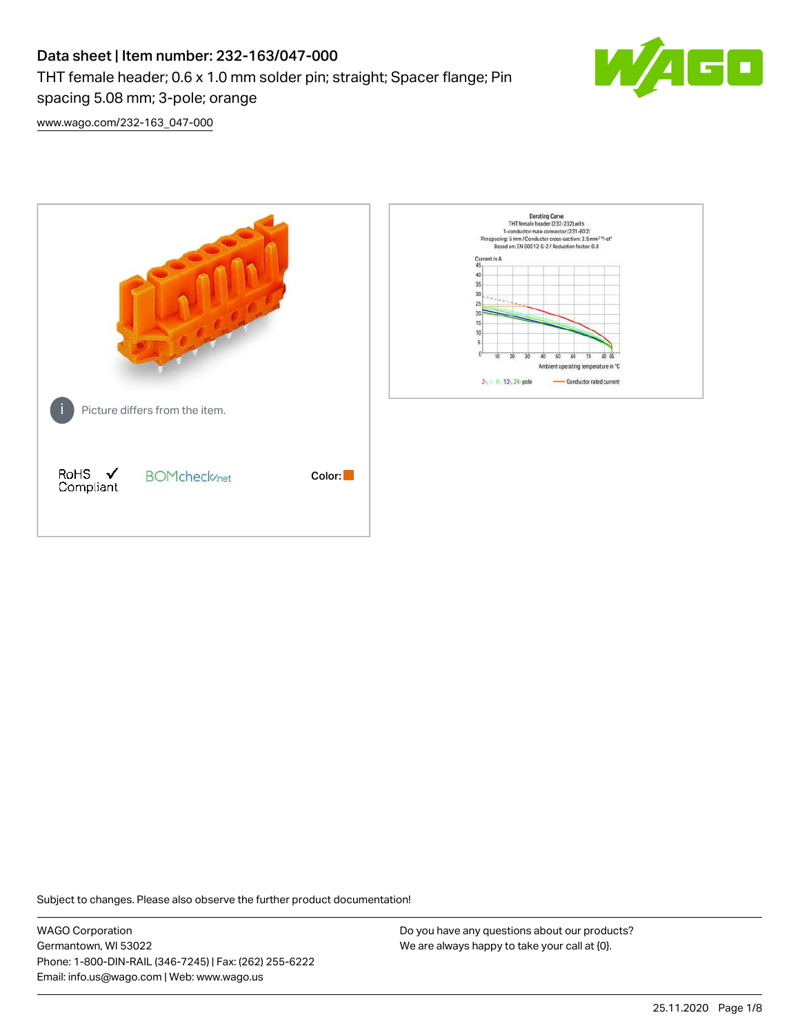# Data sheet | Item number: 232-163/047-000 THT female header; 0.6 x 1.0 mm solder pin; straight; Spacer flange; Pin spacing 5.08 mm; 3-pole; orange



[www.wago.com/232-163\\_047-000](http://www.wago.com/232-163_047-000)



Subject to changes. Please also observe the further product documentation!

WAGO Corporation Germantown, WI 53022 Phone: 1-800-DIN-RAIL (346-7245) | Fax: (262) 255-6222 Email: info.us@wago.com | Web: www.wago.us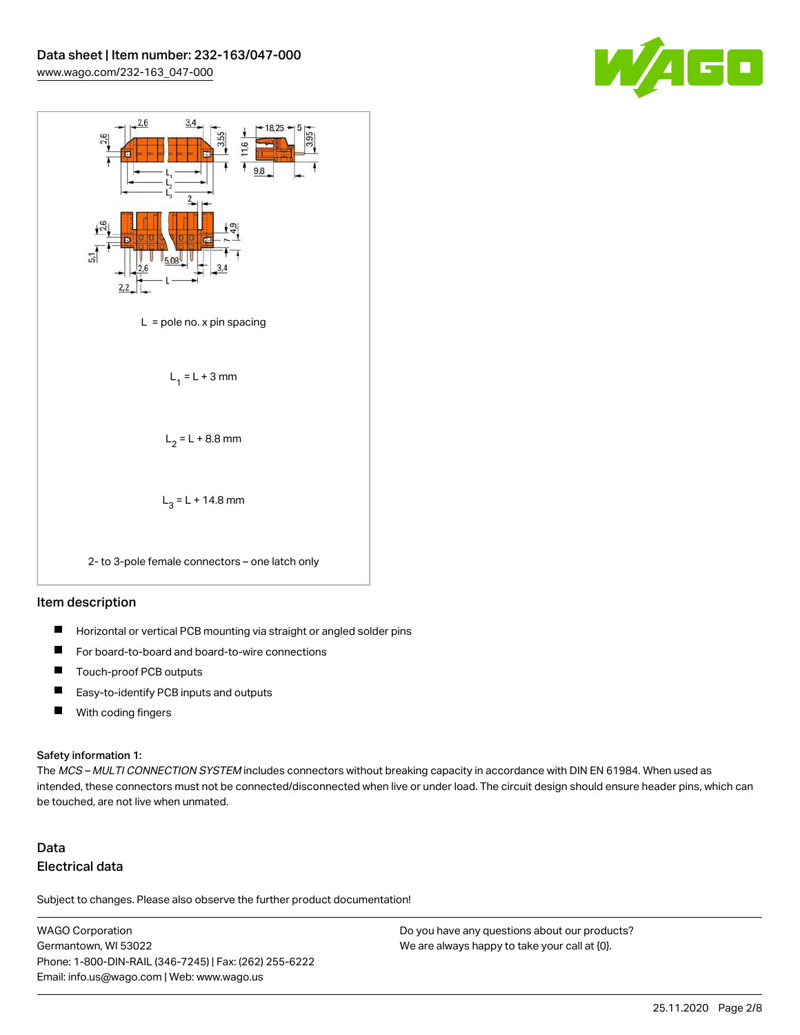



### Item description

- $\blacksquare$ Horizontal or vertical PCB mounting via straight or angled solder pins
- П For board-to-board and board-to-wire connections
- $\blacksquare$ Touch-proof PCB outputs
- $\blacksquare$ Easy-to-identify PCB inputs and outputs
- $\blacksquare$ With coding fingers

#### Safety information 1:

The MCS - MULTI CONNECTION SYSTEM includes connectors without breaking capacity in accordance with DIN EN 61984. When used as intended, these connectors must not be connected/disconnected when live or under load. The circuit design should ensure header pins, which can be touched, are not live when unmated.

# Data Electrical data

Subject to changes. Please also observe the further product documentation!

WAGO Corporation Germantown, WI 53022 Phone: 1-800-DIN-RAIL (346-7245) | Fax: (262) 255-6222 Email: info.us@wago.com | Web: www.wago.us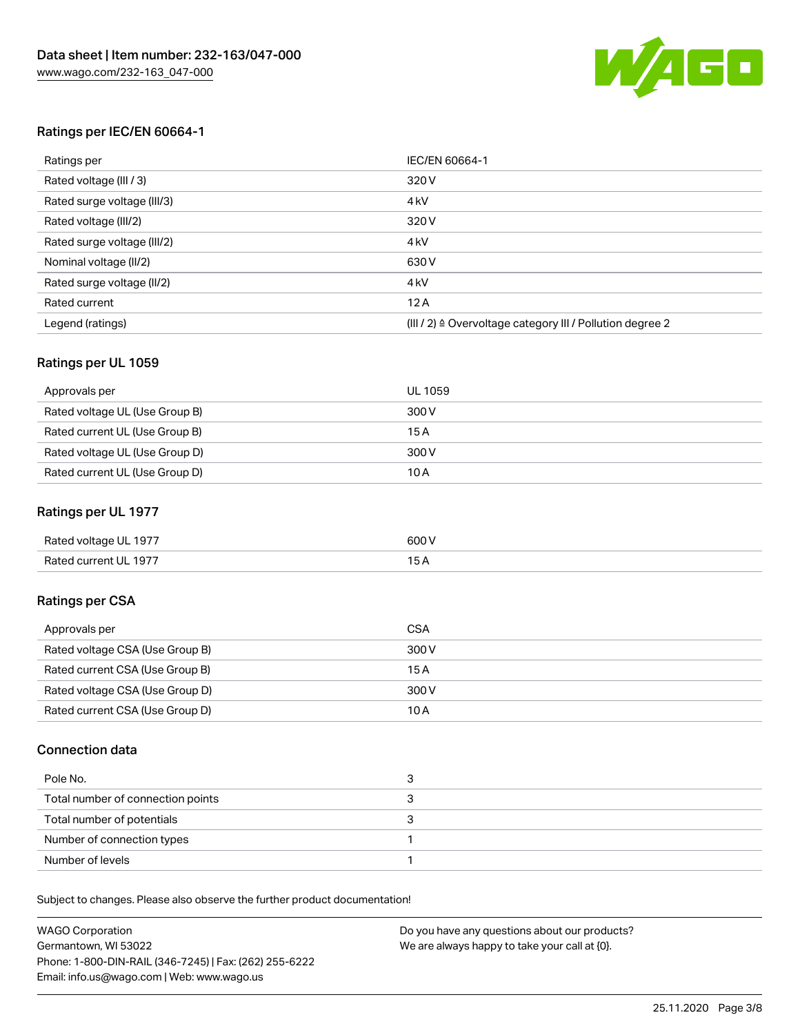

### Ratings per IEC/EN 60664-1

| Ratings per                 | IEC/EN 60664-1                                                        |
|-----------------------------|-----------------------------------------------------------------------|
| Rated voltage (III / 3)     | 320 V                                                                 |
| Rated surge voltage (III/3) | 4 <sub>k</sub> V                                                      |
| Rated voltage (III/2)       | 320 V                                                                 |
| Rated surge voltage (III/2) | 4 <sub>k</sub> V                                                      |
| Nominal voltage (II/2)      | 630 V                                                                 |
| Rated surge voltage (II/2)  | 4 <sub>k</sub> V                                                      |
| Rated current               | 12A                                                                   |
| Legend (ratings)            | $(III / 2)$ $\triangle$ Overvoltage category III / Pollution degree 2 |

### Ratings per UL 1059

| Approvals per                  | UL 1059 |
|--------------------------------|---------|
| Rated voltage UL (Use Group B) | 300 V   |
| Rated current UL (Use Group B) | 15 A    |
| Rated voltage UL (Use Group D) | 300 V   |
| Rated current UL (Use Group D) | 10 A    |

### Ratings per UL 1977

| Rated voltage UL 1977 | 600 <sup>V</sup><br>. |
|-----------------------|-----------------------|
| Rated current UL 1977 |                       |

### Ratings per CSA

| Approvals per                   | CSA   |
|---------------------------------|-------|
| Rated voltage CSA (Use Group B) | 300 V |
| Rated current CSA (Use Group B) | 15 A  |
| Rated voltage CSA (Use Group D) | 300 V |
| Rated current CSA (Use Group D) | 10 A  |

### Connection data

| Pole No.                          |  |
|-----------------------------------|--|
| Total number of connection points |  |
| Total number of potentials        |  |
| Number of connection types        |  |
| Number of levels                  |  |

Subject to changes. Please also observe the further product documentation!

| <b>WAGO Corporation</b>                                | Do you have any questions about our products? |
|--------------------------------------------------------|-----------------------------------------------|
| Germantown, WI 53022                                   | We are always happy to take your call at {0}. |
| Phone: 1-800-DIN-RAIL (346-7245)   Fax: (262) 255-6222 |                                               |
| Email: info.us@wago.com   Web: www.wago.us             |                                               |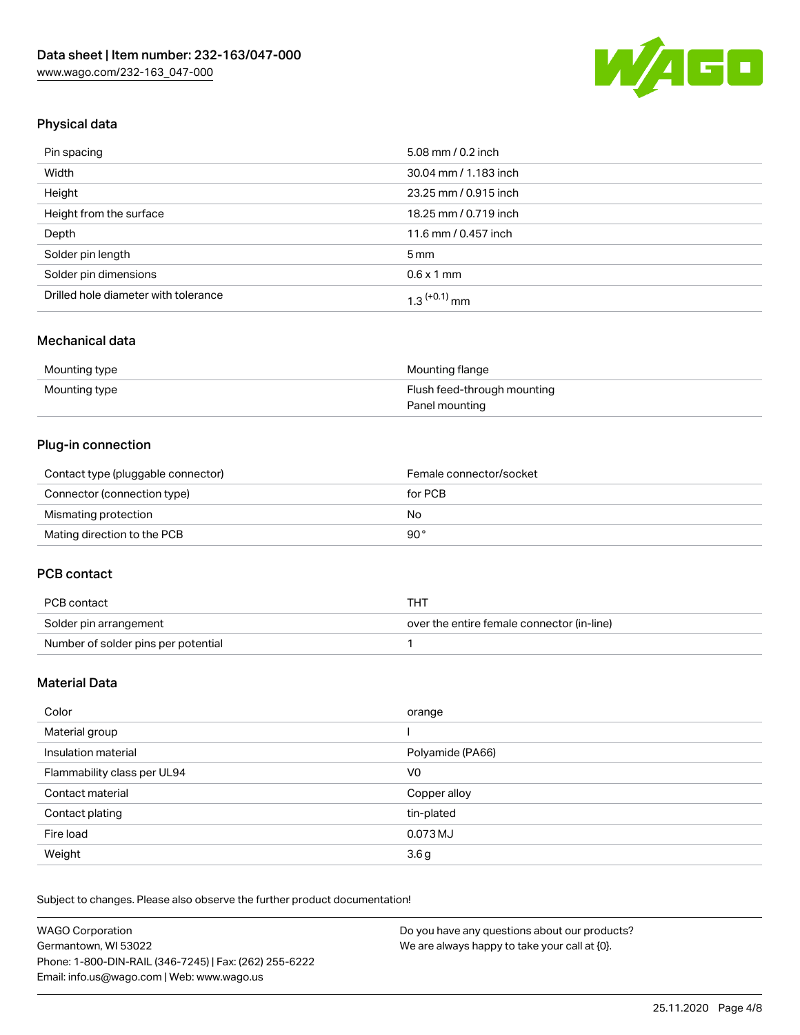

## Physical data

| Pin spacing                          | 5.08 mm / 0.2 inch    |
|--------------------------------------|-----------------------|
| Width                                | 30.04 mm / 1.183 inch |
| Height                               | 23.25 mm / 0.915 inch |
| Height from the surface              | 18.25 mm / 0.719 inch |
| Depth                                | 11.6 mm / 0.457 inch  |
| Solder pin length                    | $5 \,\mathrm{mm}$     |
| Solder pin dimensions                | $0.6 \times 1$ mm     |
| Drilled hole diameter with tolerance | $1.3$ $(+0.1)$ mm     |

### Mechanical data

| Mounting type | Mounting flange             |
|---------------|-----------------------------|
| Mounting type | Flush feed-through mounting |
|               | Panel mounting              |

### Plug-in connection

| Contact type (pluggable connector) | Female connector/socket |
|------------------------------------|-------------------------|
| Connector (connection type)        | for PCB                 |
| Mismating protection               | No                      |
| Mating direction to the PCB        | 90°                     |

### PCB contact

| PCB contact                         | тнт                                        |
|-------------------------------------|--------------------------------------------|
| Solder pin arrangement              | over the entire female connector (in-line) |
| Number of solder pins per potential |                                            |

### Material Data

| Color                       | orange           |
|-----------------------------|------------------|
| Material group              |                  |
| Insulation material         | Polyamide (PA66) |
| Flammability class per UL94 | V0               |
| Contact material            | Copper alloy     |
| Contact plating             | tin-plated       |
| Fire load                   | 0.073 MJ         |
| Weight                      | 3.6 <sub>g</sub> |

Subject to changes. Please also observe the further product documentation!

| <b>WAGO Corporation</b>                                | Do you have any questions about our products? |
|--------------------------------------------------------|-----------------------------------------------|
| Germantown, WI 53022                                   | We are always happy to take your call at {0}. |
| Phone: 1-800-DIN-RAIL (346-7245)   Fax: (262) 255-6222 |                                               |
| Email: info.us@wago.com   Web: www.wago.us             |                                               |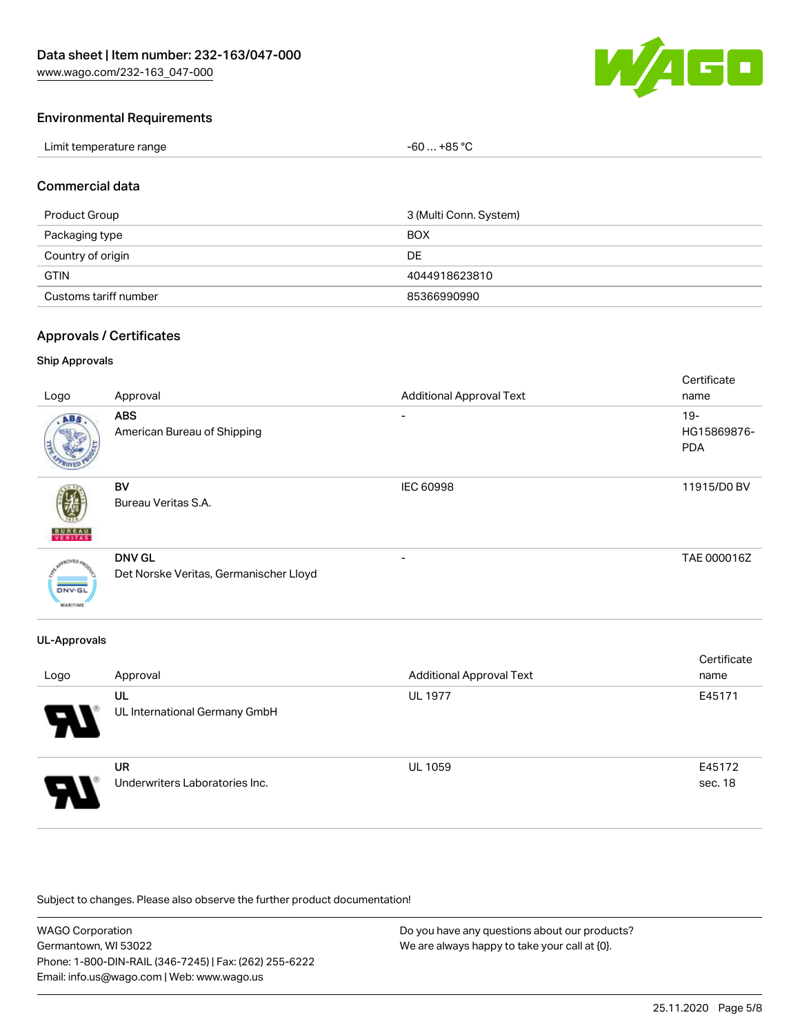

### Environmental Requirements

| Limit temperature range | $-60+85 °C$ |
|-------------------------|-------------|
|-------------------------|-------------|

### Commercial data

| Product Group         | 3 (Multi Conn. System) |
|-----------------------|------------------------|
| Packaging type        | <b>BOX</b>             |
| Country of origin     | DE                     |
| <b>GTIN</b>           | 4044918623810          |
| Customs tariff number | 85366990990            |

#### Approvals / Certificates

### Ship Approvals

| Logo                                       | Approval                                                | <b>Additional Approval Text</b> | Certificate<br>name                 |
|--------------------------------------------|---------------------------------------------------------|---------------------------------|-------------------------------------|
| ABS                                        | <b>ABS</b><br>American Bureau of Shipping               | -                               | $19 -$<br>HG15869876-<br><b>PDA</b> |
| <b>BUREAU</b><br>VERITAS                   | BV<br>Bureau Veritas S.A.                               | <b>IEC 60998</b>                | 11915/D0 BV                         |
| aOVED.<br><b>DNV-GL</b><br><b>MARITIME</b> | <b>DNV GL</b><br>Det Norske Veritas, Germanischer Lloyd |                                 | TAE 000016Z                         |

### UL-Approvals

| Logo | Approval                                    | <b>Additional Approval Text</b> | Certificate<br>name |
|------|---------------------------------------------|---------------------------------|---------------------|
| 8    | UL<br>UL International Germany GmbH         | <b>UL 1977</b>                  | E45171              |
| Э.   | <b>UR</b><br>Underwriters Laboratories Inc. | <b>UL 1059</b>                  | E45172<br>sec. 18   |

Subject to changes. Please also observe the further product documentation!

| <b>WAGO Corporation</b>                                | Do you have any questions about our products? |
|--------------------------------------------------------|-----------------------------------------------|
| Germantown, WI 53022                                   | We are always happy to take your call at {0}. |
| Phone: 1-800-DIN-RAIL (346-7245)   Fax: (262) 255-6222 |                                               |
| Email: info.us@wago.com   Web: www.wago.us             |                                               |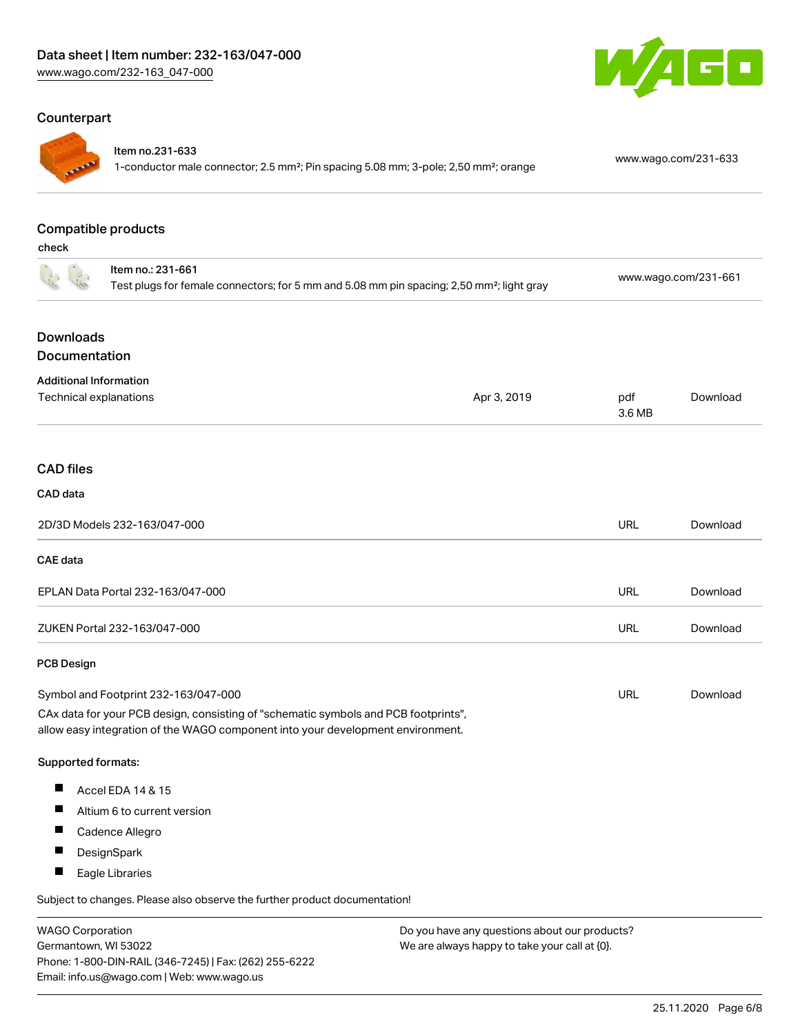### Counterpart



#### Item no.231-633

1-conductor male connector; 2.5 mm²; Pin spacing 5.08 mm; 3-pole; 2,50 mm²; orange [www.wago.com/231-633](https://www.wago.com/231-633)

GO

#### Compatible products

check

| Item no.: 231-661<br>Test plugs for female connectors; for 5 mm and 5.08 mm pin spacing; 2,50 mm <sup>2</sup> ; light gray |                                                                                                                                                                        | www.wago.com/231-661 |          |
|----------------------------------------------------------------------------------------------------------------------------|------------------------------------------------------------------------------------------------------------------------------------------------------------------------|----------------------|----------|
| <b>Downloads</b><br>Documentation                                                                                          |                                                                                                                                                                        |                      |          |
| <b>Additional Information</b><br>Technical explanations                                                                    | Apr 3, 2019                                                                                                                                                            | pdf<br>3.6 MB        | Download |
| <b>CAD files</b>                                                                                                           |                                                                                                                                                                        |                      |          |
| CAD data                                                                                                                   |                                                                                                                                                                        |                      |          |
| 2D/3D Models 232-163/047-000                                                                                               |                                                                                                                                                                        | <b>URL</b>           | Download |
| CAE data                                                                                                                   |                                                                                                                                                                        |                      |          |
| EPLAN Data Portal 232-163/047-000                                                                                          |                                                                                                                                                                        | <b>URL</b>           | Download |
| ZUKEN Portal 232-163/047-000                                                                                               |                                                                                                                                                                        | <b>URL</b>           | Download |
| <b>PCB Design</b>                                                                                                          |                                                                                                                                                                        |                      |          |
| Symbol and Footprint 232-163/047-000                                                                                       |                                                                                                                                                                        | <b>URL</b>           | Download |
|                                                                                                                            | CAx data for your PCB design, consisting of "schematic symbols and PCB footprints",<br>allow easy integration of the WAGO component into your development environment. |                      |          |
| Supported formats:                                                                                                         |                                                                                                                                                                        |                      |          |
| $\blacksquare$<br>Accel EDA 14 & 15                                                                                        |                                                                                                                                                                        |                      |          |
| ш<br>Altium 6 to current version                                                                                           |                                                                                                                                                                        |                      |          |
| Cadence Allegro                                                                                                            |                                                                                                                                                                        |                      |          |
| ш<br>DesignSpark                                                                                                           |                                                                                                                                                                        |                      |          |
| П<br>Eagle Libraries                                                                                                       |                                                                                                                                                                        |                      |          |
| Subject to changes. Please also observe the further product documentation!                                                 |                                                                                                                                                                        |                      |          |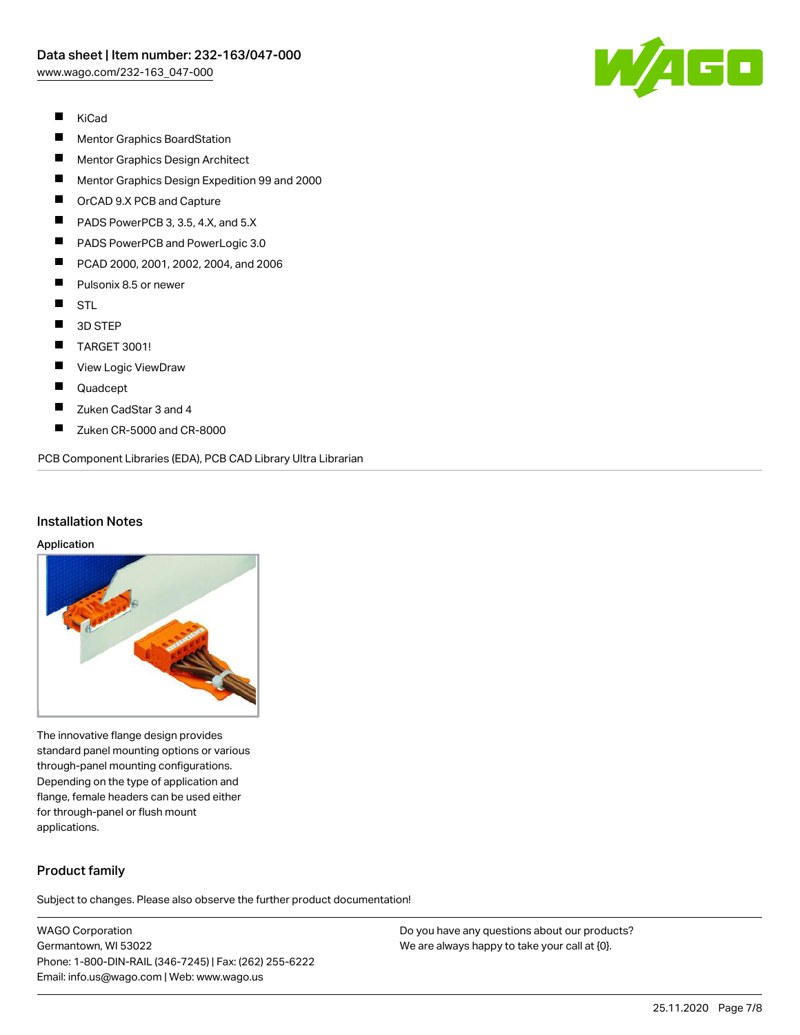

- $\blacksquare$ KiCad
- П Mentor Graphics BoardStation
- $\blacksquare$ Mentor Graphics Design Architect
- $\blacksquare$ Mentor Graphics Design Expedition 99 and 2000
- $\blacksquare$ OrCAD 9.X PCB and Capture
- $\blacksquare$ PADS PowerPCB 3, 3.5, 4.X, and 5.X
- $\blacksquare$ PADS PowerPCB and PowerLogic 3.0
- $\blacksquare$ PCAD 2000, 2001, 2002, 2004, and 2006
- П Pulsonix 8.5 or newer
- $\blacksquare$ STL
- $\blacksquare$ 3D STEP
- $\blacksquare$ TARGET 3001!
- $\blacksquare$ View Logic ViewDraw
- $\blacksquare$ Quadcept
- $\blacksquare$ Zuken CadStar 3 and 4
- $\blacksquare$ Zuken CR-5000 and CR-8000

PCB Component Libraries (EDA), PCB CAD Library Ultra Librarian

### Installation Notes

#### Application



The innovative flange design provides standard panel mounting options or various through-panel mounting configurations. Depending on the type of application and flange, female headers can be used either for through-panel or flush mount applications.

### Product family

Subject to changes. Please also observe the further product documentation!

WAGO Corporation Germantown, WI 53022 Phone: 1-800-DIN-RAIL (346-7245) | Fax: (262) 255-6222 Email: info.us@wago.com | Web: www.wago.us